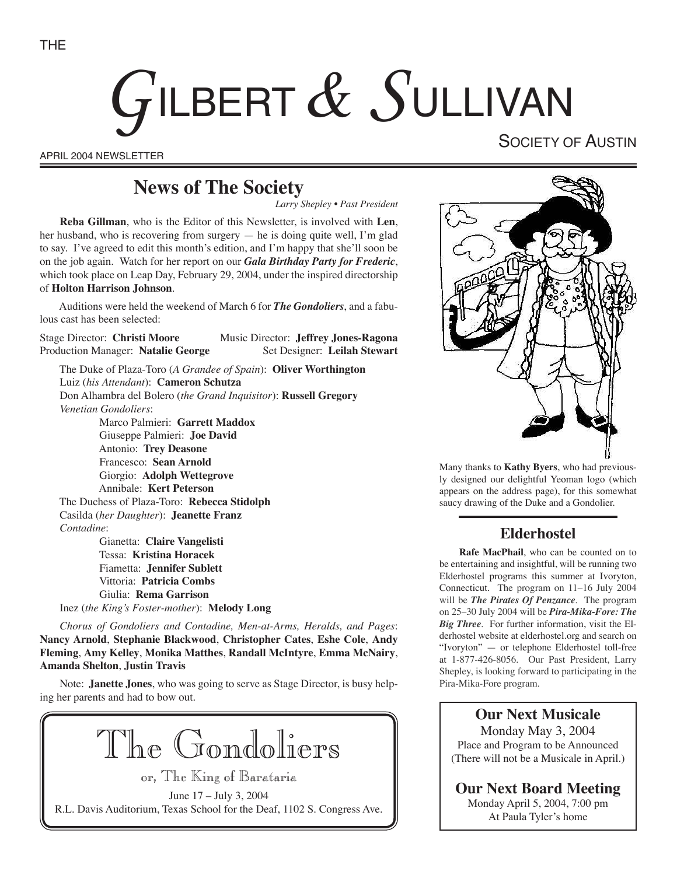# GILBERT & SULLIVAN

APRIL 2004 NEWSLETTER

SOCIETY OF AUSTIN

## **News of The Society**

*Larry Shepley • Past President*

**Reba Gillman**, who is the Editor of this Newsletter, is involved with **Len**, her husband, who is recovering from surgery — he is doing quite well, I'm glad to say. I've agreed to edit this month's edition, and I'm happy that she'll soon be on the job again. Watch for her report on our *Gala Birthday Party for Frederic*, which took place on Leap Day, February 29, 2004, under the inspired directorship of **Holton Harrison Johnson**.

Auditions were held the weekend of March 6 for *The Gondoliers*, and a fabulous cast has been selected:

Stage Director: **Christi Moore** Music Director: **Jeffrey Jones-Ragona** Production Manager: Natalie George Set Designer: Leilah Stewart

The Duke of Plaza-Toro (*A Grandee of Spain*): **Oliver Worthington** Luiz (*his Attendant*): **Cameron Schutza** Don Alhambra del Bolero (*the Grand Inquisitor*): **Russell Gregory** *Venetian Gondoliers*: Marco Palmieri: **Garrett Maddox**

 Giuseppe Palmieri: **Joe David** Antonio: **Trey Deasone** Francesco: **Sean Arnold** Giorgio: **Adolph Wettegrove** Annibale: **Kert Peterson** The Duchess of Plaza-Toro: **Rebecca Stidolph** Casilda (*her Daughter*): **Jeanette Franz** *Contadine*: Gianetta: **Claire Vangelisti** Tessa: **Kristina Horacek** Fiametta: **Jennifer Sublett**

 Vittoria: **Patricia Combs** Giulia: **Rema Garrison** Inez (*the King's Foster-mother*): **Melody Long**

*Chorus of Gondoliers and Contadine, Men-at-Arms, Heralds, and Pages*: **Nancy Arnold**, **Stephanie Blackwood**, **Christopher Cates**, **Eshe Cole**, **Andy Fleming**, **Amy Kelley**, **Monika Matthes**, **Randall McIntyre**, **Emma McNairy**, **Amanda Shelton**, **Justin Travis**

Note: **Janette Jones**, who was going to serve as Stage Director, is busy helping her parents and had to bow out.

The Gondoliers or, The King of Barataria

June 17 – July 3, 2004 R.L. Davis Auditorium, Texas School for the Deaf, 1102 S. Congress Ave.



Many thanks to **Kathy Byers**, who had previously designed our delightful Yeoman logo (which appears on the address page), for this somewhat saucy drawing of the Duke and a Gondolier.

#### **Elderhostel**

**Rafe MacPhail**, who can be counted on to be entertaining and insightful, will be running two Elderhostel programs this summer at Ivoryton, Connecticut. The program on 11–16 July 2004 will be *The Pirates Of Penzance*. The program on 25–30 July 2004 will be *Pira-Mika-Fore: The Big Three*. For further information, visit the Elderhostel website at elderhostel.org and search on "Ivoryton" — or telephone Elderhostel toll-free at 1-877-426-8056. Our Past President, Larry Shepley, is looking forward to participating in the Pira-Mika-Fore program.

**Our Next Musicale** Monday May 3, 2004 Place and Program to be Announced (There will not be a Musicale in April.)

**Our Next Board Meeting** Monday April 5, 2004, 7:00 pm At Paula Tyler's home